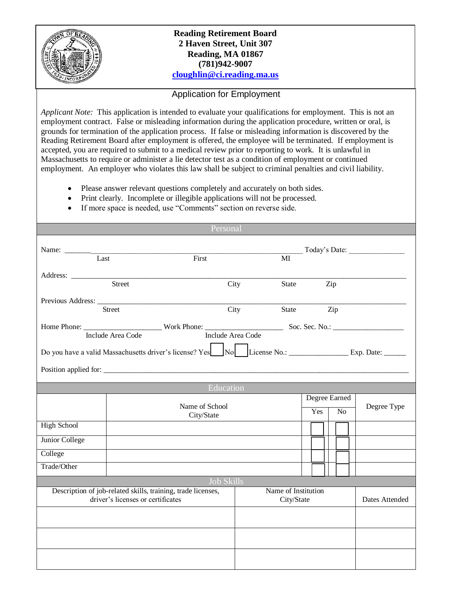

## **Reading Retirement Board 2 Haven Street, Unit 307 Reading, MA 01867 (781)942-9007 [cloughlin@ci.reading.ma.us](mailto:cloughlin@ci.reading.ma.us)**

## Application for Employment

*Applicant Note:* This application is intended to evaluate your qualifications for employment. This is not an employment contract. False or misleading information during the application procedure, written or oral, is grounds for termination of the application process. If false or misleading information is discovered by the Reading Retirement Board after employment is offered, the employee will be terminated. If employment is accepted, you are required to submit to a medical review prior to reporting to work. It is unlawful in Massachusetts to require or administer a lie detector test as a condition of employment or continued employment. An employer who violates this law shall be subject to criminal penalties and civil liability.

- Please answer relevant questions completely and accurately on both sides.
- Print clearly. Incomplete or illegible applications will not be processed.
- If more space is needed, use "Comments" section on reverse side.

|                                                                                                                   |                   | Personal            |            |       |               |                |  |             |
|-------------------------------------------------------------------------------------------------------------------|-------------------|---------------------|------------|-------|---------------|----------------|--|-------------|
| Name: Last                                                                                                        |                   |                     |            |       |               | Today's Date:  |  |             |
|                                                                                                                   |                   | First               |            | MI    |               |                |  |             |
|                                                                                                                   |                   |                     |            |       |               |                |  |             |
| Street                                                                                                            |                   |                     | City       | State |               | Zip            |  |             |
|                                                                                                                   |                   |                     |            |       |               |                |  |             |
| <b>Street</b>                                                                                                     |                   | City                |            | State |               | Zip            |  |             |
| Include Area Code                                                                                                 |                   |                     |            |       |               |                |  |             |
|                                                                                                                   | Include Area Code |                     |            |       |               |                |  |             |
| Do you have a valid Massachusetts driver's license? Yes No. [License No.: Cameron License No.: Rxp. Date: Cameron |                   |                     |            |       |               |                |  |             |
|                                                                                                                   |                   |                     |            |       |               |                |  |             |
|                                                                                                                   |                   |                     |            |       |               |                |  |             |
|                                                                                                                   |                   | Education           |            |       |               |                |  |             |
|                                                                                                                   |                   | Name of School      |            |       | Degree Earned |                |  | Degree Type |
|                                                                                                                   |                   | City/State          |            |       | Yes           | N <sub>o</sub> |  |             |
| <b>High School</b>                                                                                                |                   |                     |            |       |               |                |  |             |
| Junior College                                                                                                    |                   |                     |            |       |               |                |  |             |
| College                                                                                                           |                   |                     |            |       |               |                |  |             |
| Trade/Other                                                                                                       |                   |                     |            |       |               |                |  |             |
| Job Skills                                                                                                        |                   |                     |            |       |               |                |  |             |
| Description of job-related skills, training, trade licenses,                                                      |                   | Name of Institution |            |       |               |                |  |             |
| driver's licenses or certificates                                                                                 |                   |                     | City/State |       |               | Dates Attended |  |             |
|                                                                                                                   |                   |                     |            |       |               |                |  |             |
|                                                                                                                   |                   |                     |            |       |               |                |  |             |
|                                                                                                                   |                   |                     |            |       |               |                |  |             |
|                                                                                                                   |                   |                     |            |       |               |                |  |             |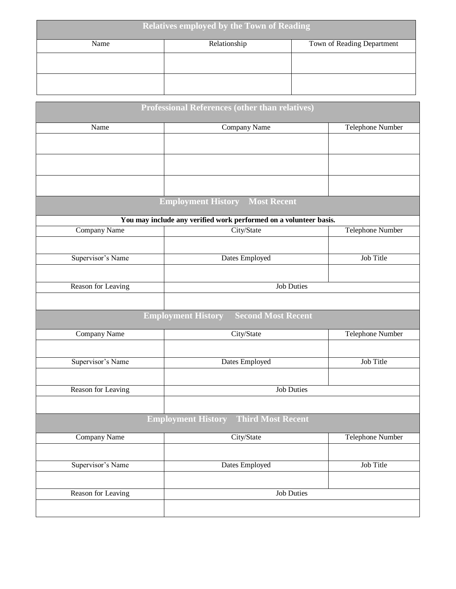| <b>Relatives employed by the Town of Reading</b> |              |                            |  |  |  |  |  |
|--------------------------------------------------|--------------|----------------------------|--|--|--|--|--|
| Name                                             | Relationship | Town of Reading Department |  |  |  |  |  |
|                                                  |              |                            |  |  |  |  |  |
|                                                  |              |                            |  |  |  |  |  |

|                     | <b>Professional References (other than relatives)</b>             |                         |  |  |
|---------------------|-------------------------------------------------------------------|-------------------------|--|--|
| Name                | Company Name                                                      | Telephone Number        |  |  |
|                     |                                                                   |                         |  |  |
|                     |                                                                   |                         |  |  |
|                     |                                                                   |                         |  |  |
|                     |                                                                   |                         |  |  |
|                     | <b>Employment History Most Recent</b>                             |                         |  |  |
|                     | You may include any verified work performed on a volunteer basis. |                         |  |  |
| <b>Company Name</b> | City/State                                                        | <b>Telephone Number</b> |  |  |
|                     |                                                                   |                         |  |  |
| Supervisor's Name   | Dates Employed                                                    | Job Title               |  |  |
|                     |                                                                   |                         |  |  |
| Reason for Leaving  | <b>Job Duties</b>                                                 |                         |  |  |
|                     |                                                                   |                         |  |  |
|                     | <b>Second Most Recent</b><br><b>Employment History</b>            |                         |  |  |
| Company Name        | City/State                                                        | Telephone Number        |  |  |
|                     |                                                                   |                         |  |  |
| Supervisor's Name   | <b>Dates Employed</b>                                             | Job Title               |  |  |
|                     |                                                                   |                         |  |  |
| Reason for Leaving  | <b>Job Duties</b>                                                 |                         |  |  |
|                     |                                                                   |                         |  |  |
|                     | <b>Third Most Recent</b><br><b>Employment History</b>             |                         |  |  |
| <b>Company Name</b> | City/State                                                        | <b>Telephone Number</b> |  |  |
|                     |                                                                   |                         |  |  |
| Supervisor's Name   | Dates Employed                                                    | Job Title               |  |  |
|                     |                                                                   |                         |  |  |
| Reason for Leaving  | <b>Job Duties</b>                                                 |                         |  |  |
|                     |                                                                   |                         |  |  |